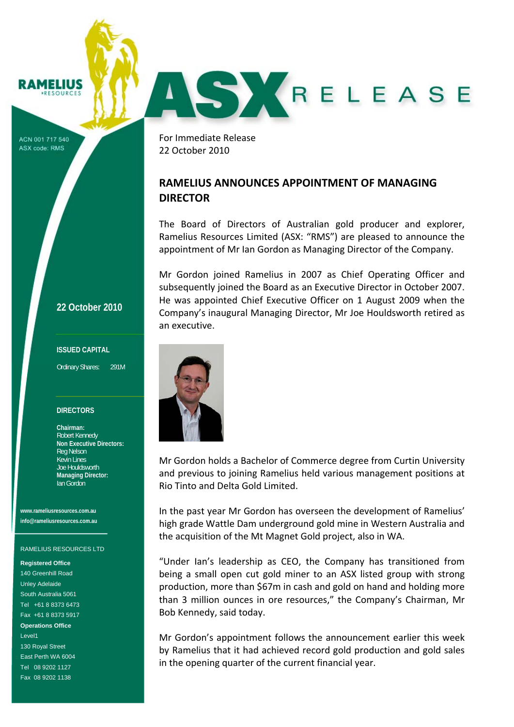# **? AMELIUS**

ACN 001 717 540 ASX code: RMS

For Immediate Release 22 October 2010

## **RAMELIUS ANNOUNCES APPOINTMENT OF MANAGING DIRECTOR**

The Board of Directors of Australian gold producer and explorer, Ramelius Resources Limited (ASX: "RMS") are pleased to announce the appointment of Mr Ian Gordon as Managing Director of the Company.

AS KRELEASE

Mr Gordon joined Ramelius in 2007 as Chief Operating Officer and subsequently joined the Board as an Executive Director in October 2007. He was appointed Chief Executive Officer on 1 August 2009 when the Company's inaugural Managing Director, Mr Joe Houldsworth retired as an executive.



Mr Gordon holds a Bachelor of Commerce degree from Curtin University and previous to joining Ramelius held various management positions at Rio Tinto and Delta Gold Limited.

In the past year Mr Gordon has overseen the development of Ramelius' high grade Wattle Dam underground gold mine in Western Australia and the acquisition of the Mt Magnet Gold project, also in WA.

"Under Ian's leadership as CEO, the Company has transitioned from being a small open cut gold miner to an ASX listed group with strong production, more than \$67m in cash and gold on hand and holding more than 3 million ounces in ore resources," the Company's Chairman, Mr Bob Kennedy, said today.

Mr Gordon's appointment follows the announcement earlier this week by Ramelius that it had achieved record gold production and gold sales in the opening quarter of the current financial year.

### **22 October 2010**

### **ISSUED CAPITAL**

Ordinary Shares: 291M

### **DIRECTORS**

**Chairman:**  Robert Kennedy **Non Executive Directors:**  Reg Nelson Kevin Lines Joe Houldsworth **Managing Director:**  Ian Gordon

**www.rameliusresources.com.au info@rameliusresources.com.au** 

#### RAMELIUS RESOURCES LTD

**Registered Office**  140 Greenhill Road Unley Adelaide South Australia 5061 Tel +61 8 8373 6473 Fax +61 8 8373 5917 **Operations Office**  Level1 130 Royal Street East Perth WA 6004 Tel 08 9202 1127 Fax 08 9202 1138